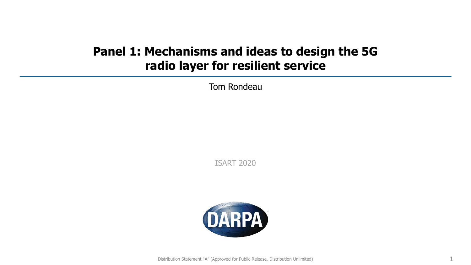## **Panel 1: Mechanisms and ideas to design the 5G radio layer for resilient service**

Tom Rondeau

ISART 2020

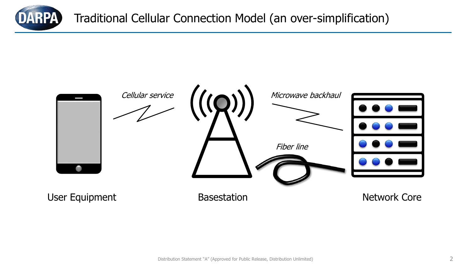

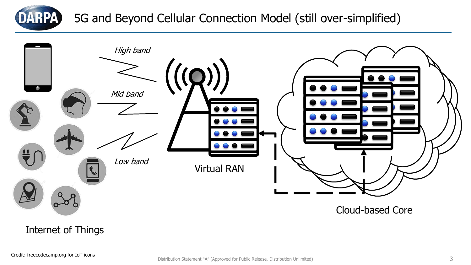

5G and Beyond Cellular Connection Model (still over-simplified)



Internet of Things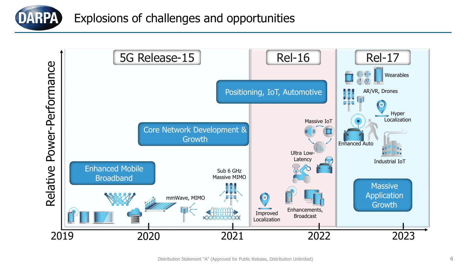

Explosions of challenges and opportunities

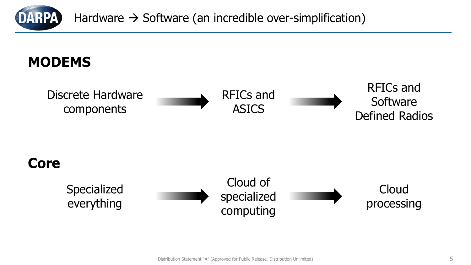

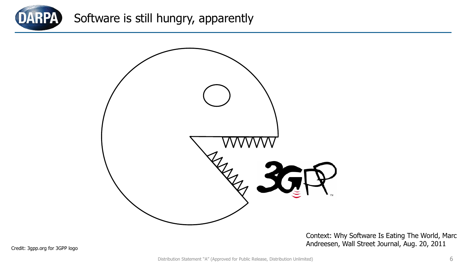

## Software is still hungry, apparently



Context: Why Software Is Eating The World, Marc Andreesen, Wall Street Journal, Aug. 20, 2011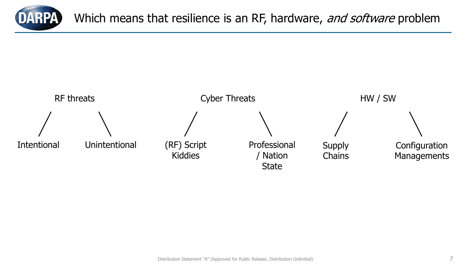